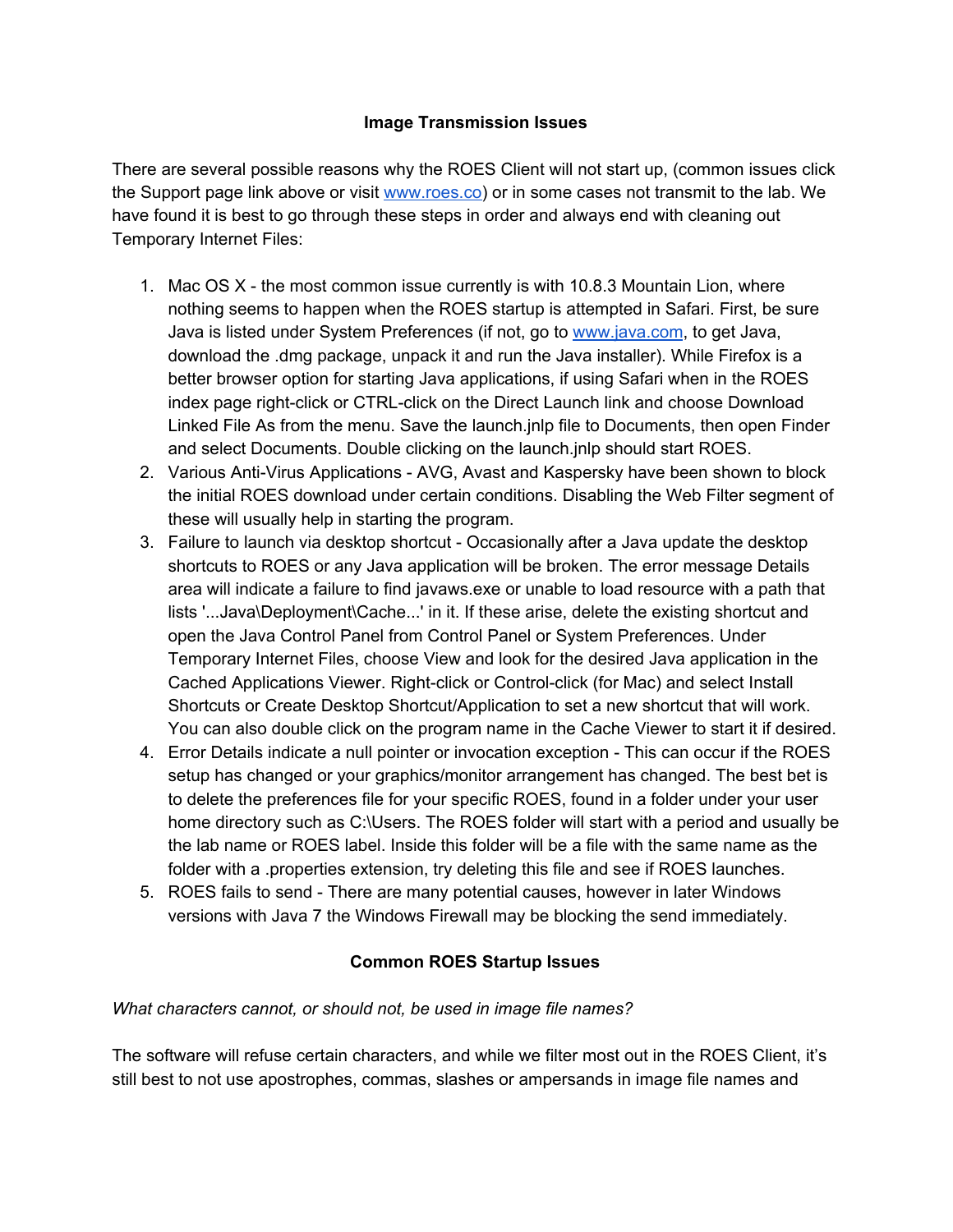### **Image Transmission Issues**

There are several possible reasons why the ROES Client will not start up, (common issues click the Support page link above or visit [www.roes.co\)](http://www.roes.co/) or in some cases not transmit to the lab. We have found it is best to go through these steps in order and always end with cleaning out Temporary Internet Files:

- 1. Mac OS X the most common issue currently is with 10.8.3 Mountain Lion, where nothing seems to happen when the ROES startup is attempted in Safari. First, be sure Java is listed under System Preferences (if not, go t[o](http://www.java.com/) [www.java.com](http://www.java.com/), to get Java, download the .dmg package, unpack it and run the Java installer). While Firefox is a better browser option for starting Java applications, if using Safari when in the ROES index page right-click or CTRL-click on the Direct Launch link and choose Download Linked File As from the menu. Save the launch.jnlp file to Documents, then open Finder and select Documents. Double clicking on the launch.jnlp should start ROES.
- 2. Various Anti-Virus Applications AVG, Avast and Kaspersky have been shown to block the initial ROES download under certain conditions. Disabling the Web Filter segment of these will usually help in starting the program.
- 3. Failure to launch via desktop shortcut Occasionally after a Java update the desktop shortcuts to ROES or any Java application will be broken. The error message Details area will indicate a failure to find javaws.exe or unable to load resource with a path that lists '...Java\Deployment\Cache...' in it. If these arise, delete the existing shortcut and open the Java Control Panel from Control Panel or System Preferences. Under Temporary Internet Files, choose View and look for the desired Java application in the Cached Applications Viewer. Right-click or Control-click (for Mac) and select Install Shortcuts or Create Desktop Shortcut/Application to set a new shortcut that will work. You can also double click on the program name in the Cache Viewer to start it if desired.
- 4. Error Details indicate a null pointer or invocation exception This can occur if the ROES setup has changed or your graphics/monitor arrangement has changed. The best bet is to delete the preferences file for your specific ROES, found in a folder under your user home directory such as C:\Users. The ROES folder will start with a period and usually be the lab name or ROES label. Inside this folder will be a file with the same name as the folder with a .properties extension, try deleting this file and see if ROES launches.
- 5. ROES fails to send There are many potential causes, however in later Windows versions with Java 7 the Windows Firewall may be blocking the send immediately.

## **Common ROES Startup Issues**

#### *What characters cannot, or should not, be used in image file names?*

The software will refuse certain characters, and while we filter most out in the ROES Client, it's still best to not use apostrophes, commas, slashes or ampersands in image file names and